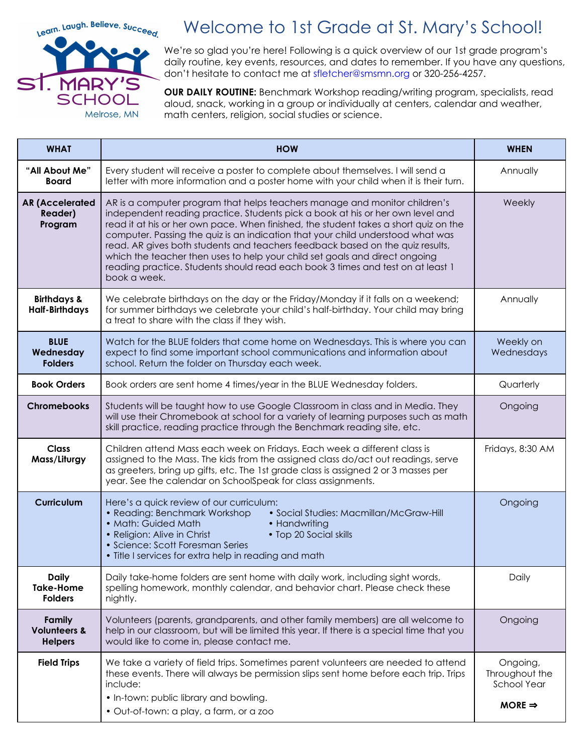

## Welcome to 1st Grade at St. Mary's School!

We're so glad you're here! Following is a quick overview of our 1st grade program's daily routine, key events, resources, and dates to remember. If you have any questions, don't hesitate to contact me at sfletcher@smsmn.org or 320-256-4257.

**OUR DAILY ROUTINE:** Benchmark Workshop reading/writing program, specialists, read aloud, snack, working in a group or individually at centers, calendar and weather, math centers, religion, social studies or science.

| <b>WHAT</b>                                         | <b>HOW</b>                                                                                                                                                                                                                                                                                                                                                                                                                                                                                                                                                                                                 | <b>WHEN</b>                                                            |
|-----------------------------------------------------|------------------------------------------------------------------------------------------------------------------------------------------------------------------------------------------------------------------------------------------------------------------------------------------------------------------------------------------------------------------------------------------------------------------------------------------------------------------------------------------------------------------------------------------------------------------------------------------------------------|------------------------------------------------------------------------|
| "All About Me"<br><b>Board</b>                      | Every student will receive a poster to complete about themselves. I will send a<br>letter with more information and a poster home with your child when it is their turn.                                                                                                                                                                                                                                                                                                                                                                                                                                   | Annually                                                               |
| <b>AR (Accelerated</b><br><b>Reader)</b><br>Program | AR is a computer program that helps teachers manage and monitor children's<br>independent reading practice. Students pick a book at his or her own level and<br>read it at his or her own pace. When finished, the student takes a short quiz on the<br>computer. Passing the quiz is an indication that your child understood what was<br>read. AR gives both students and teachers feedback based on the quiz results,<br>which the teacher then uses to help your child set goals and direct ongoing<br>reading practice. Students should read each book 3 times and test on at least 1<br>book a week. | Weekly                                                                 |
| <b>Birthdays &amp;</b><br><b>Half-Birthdays</b>     | We celebrate birthdays on the day or the Friday/Monday if it falls on a weekend;<br>for summer birthdays we celebrate your child's half-birthday. Your child may bring<br>a treat to share with the class if they wish.                                                                                                                                                                                                                                                                                                                                                                                    | Annually                                                               |
| <b>BLUE</b><br>Wednesday<br><b>Folders</b>          | Watch for the BLUE folders that come home on Wednesdays. This is where you can<br>expect to find some important school communications and information about<br>school. Return the folder on Thursday each week.                                                                                                                                                                                                                                                                                                                                                                                            | Weekly on<br>Wednesdays                                                |
| <b>Book Orders</b>                                  | Book orders are sent home 4 times/year in the BLUE Wednesday folders.                                                                                                                                                                                                                                                                                                                                                                                                                                                                                                                                      | Quarterly                                                              |
| <b>Chromebooks</b>                                  | Students will be taught how to use Google Classroom in class and in Media. They<br>will use their Chromebook at school for a variety of learning purposes such as math<br>skill practice, reading practice through the Benchmark reading site, etc.                                                                                                                                                                                                                                                                                                                                                        | Ongoing                                                                |
| <b>Class</b><br>Mass/Liturgy                        | Children attend Mass each week on Fridays. Each week a different class is<br>assigned to the Mass. The kids from the assigned class do/act out readings, serve<br>as greeters, bring up gifts, etc. The 1st grade class is assigned 2 or 3 masses per<br>year. See the calendar on SchoolSpeak for class assignments.                                                                                                                                                                                                                                                                                      | Fridays, 8:30 AM                                                       |
| <b>Curriculum</b>                                   | Here's a quick review of our curriculum:<br>• Reading: Benchmark Workshop<br>• Social Studies: Macmillan/McGraw-Hill<br>• Math: Guided Math<br>• Handwriting<br>• Religion: Alive in Christ<br>• Top 20 Social skills<br>• Science: Scott Foresman Series<br>• Title I services for extra help in reading and math                                                                                                                                                                                                                                                                                         | Ongoing                                                                |
| <b>Daily</b><br><b>Take-Home</b><br><b>Folders</b>  | Daily take-home folders are sent home with daily work, including sight words,<br>spelling homework, monthly calendar, and behavior chart. Please check these<br>nightly.                                                                                                                                                                                                                                                                                                                                                                                                                                   | Daily                                                                  |
| Family<br><b>Volunteers &amp;</b><br><b>Helpers</b> | Volunteers (parents, grandparents, and other family members) are all welcome to<br>help in our classroom, but will be limited this year. If there is a special time that you<br>would like to come in, please contact me.                                                                                                                                                                                                                                                                                                                                                                                  | Ongoing                                                                |
| <b>Field Trips</b>                                  | We take a variety of field trips. Sometimes parent volunteers are needed to attend<br>these events. There will always be permission slips sent home before each trip. Trips<br>include:<br>. In-town: public library and bowling.<br>· Out-of-town: a play, a farm, or a zoo                                                                                                                                                                                                                                                                                                                               | Ongoing,<br>Throughout the<br><b>School Year</b><br>MORE $\Rightarrow$ |